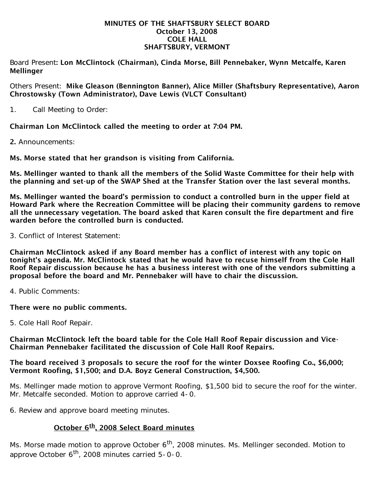#### MINUTES OF THE SHAFTSBURY SELECT BOARD October 13, 2008 COLE HALL SHAFTSBURY, VERMONT

Board Present: Lon McClintock (Chairman), Cinda Morse, Bill Pennebaker, Wynn Metcalfe, Karen **Mellinger** 

Others Present: Mike Gleason (Bennington Banner), Alice Miller (Shaftsbury Representative), Aaron Chrostowsky (Town Administrator), Dave Lewis (VLCT Consultant)

1. Call Meeting to Order:

Chairman Lon McClintock called the meeting to order at 7:04 PM.

2. Announcements:

Ms. Morse stated that her grandson is visiting from California.

Ms. Mellinger wanted to thank all the members of the Solid Waste Committee for their help with the planning and set-up of the SWAP Shed at the Transfer Station over the last several months.

Ms. Mellinger wanted the board's permission to conduct a controlled burn in the upper field at Howard Park where the Recreation Committee will be placing their community gardens to remove all the unnecessary vegetation. The board asked that Karen consult the fire department and fire warden before the controlled burn is conducted.

3. Conflict of Interest Statement:

Chairman McClintock asked if any Board member has a conflict of interest with any topic on tonight's agenda. Mr. McClintock stated that he would have to recuse himself from the Cole Hall Roof Repair discussion because he has a business interest with one of the vendors submitting a proposal before the board and Mr. Pennebaker will have to chair the discussion.

4. Public Comments:

There were no public comments.

5. Cole Hall Roof Repair.

Chairman McClintock left the board table for the Cole Hall Roof Repair discussion and Vice-Chairman Pennebaker facilitated the discussion of Cole Hall Roof Repairs.

#### The board received 3 proposals to secure the roof for the winter Doxsee Roofing Co., \$6,000; Vermont Roofing, \$1,500; and D.A. Boyz General Construction, \$4,500.

Ms. Mellinger made motion to approve Vermont Roofing, \$1,500 bid to secure the roof for the winter. Mr. Metcalfe seconded. Motion to approve carried 4-0.

6. Review and approve board meeting minutes.

# October 6<sup>th</sup>, 2008 Select Board minutes

Ms. Morse made motion to approve October 6<sup>th</sup>, 2008 minutes. Ms. Mellinger seconded. Motion to approve October  $6^{th}$ , 2008 minutes carried  $5$ -0-0.